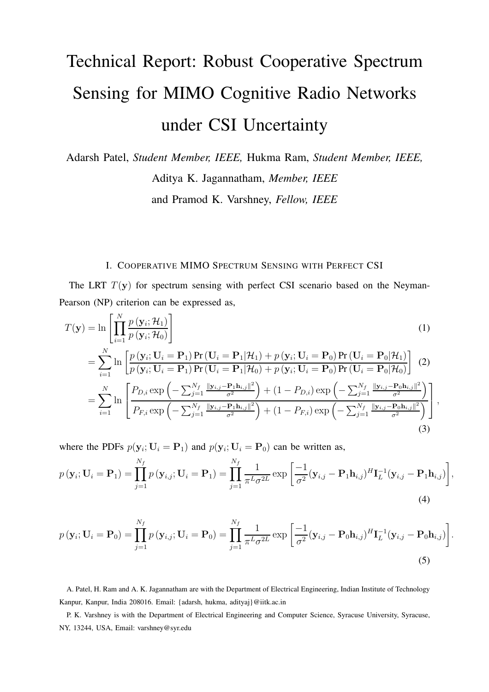# Technical Report: Robust Cooperative Spectrum Sensing for MIMO Cognitive Radio Networks under CSI Uncertainty

Adarsh Patel, *Student Member, IEEE,* Hukma Ram, *Student Member, IEEE,* Aditya K. Jagannatham, *Member, IEEE* and Pramod K. Varshney, *Fellow, IEEE*

#### I. COOPERATIVE MIMO SPECTRUM SENSING WITH PERFECT CSI

The LRT  $T(y)$  for spectrum sensing with perfect CSI scenario based on the Neyman-Pearson (NP) criterion can be expressed as,

$$
T(\mathbf{y}) = \ln \left[ \prod_{i=1}^{N} \frac{p(\mathbf{y}_i; \mathcal{H}_1)}{p(\mathbf{y}_i; \mathcal{H}_0)} \right]
$$
(1)  
= 
$$
\sum_{i=1}^{N} \ln \left[ \frac{p(\mathbf{y}_i; \mathbf{U}_i = \mathbf{P}_1) \Pr(\mathbf{U}_i = \mathbf{P}_1 | \mathcal{H}_1) + p(\mathbf{y}_i; \mathbf{U}_i = \mathbf{P}_0) \Pr(\mathbf{U}_i = \mathbf{P}_0 | \mathcal{H}_1)}{p(\mathbf{y}_i; \mathbf{U}_i = \mathbf{P}_1) \Pr(\mathbf{U}_i = \mathbf{P}_1 | \mathcal{H}_0) + p(\mathbf{y}_i; \mathbf{U}_i = \mathbf{P}_0) \Pr(\mathbf{U}_i = \mathbf{P}_0 | \mathcal{H}_0)} \right]
$$
(2)  
= 
$$
\sum_{i=1}^{N} \ln \left[ \frac{P_{D,i} \exp\left(-\sum_{j=1}^{N_f} \frac{\|\mathbf{y}_{i,j} - \mathbf{P}_1 \mathbf{h}_{i,j}\|^2}{\sigma^2}\right) + (1 - P_{D,i}) \exp\left(-\sum_{j=1}^{N_f} \frac{\|\mathbf{y}_{i,j} - \mathbf{P}_0 \mathbf{h}_{i,j}\|^2}{\sigma^2}\right)}{P_{F,i} \exp\left(-\sum_{j=1}^{N_f} \frac{\|\mathbf{y}_{i,j} - \mathbf{P}_1 \mathbf{h}_{i,j}\|^2}{\sigma^2}\right) + (1 - P_{F,i}) \exp\left(-\sum_{j=1}^{N_f} \frac{\|\mathbf{y}_{i,j} - \mathbf{P}_0 \mathbf{h}_{i,j}\|^2}{\sigma^2}\right)} \right],
$$
(3)

where the PDFs  $p(\mathbf{y}_i; \mathbf{U}_i = \mathbf{P}_1)$  and  $p(\mathbf{y}_i; \mathbf{U}_i = \mathbf{P}_0)$  can be written as,

$$
p(\mathbf{y}_i; \mathbf{U}_i = \mathbf{P}_1) = \prod_{j=1}^{N_f} p(\mathbf{y}_{i,j}; \mathbf{U}_i = \mathbf{P}_1) = \prod_{j=1}^{N_f} \frac{1}{\pi^L \sigma^{2L}} \exp\left[\frac{-1}{\sigma^2} (\mathbf{y}_{i,j} - \mathbf{P}_1 \mathbf{h}_{i,j})^H \mathbf{I}_L^{-1} (\mathbf{y}_{i,j} - \mathbf{P}_1 \mathbf{h}_{i,j})\right],
$$
\n(4)

$$
p(\mathbf{y}_i; \mathbf{U}_i = \mathbf{P}_0) = \prod_{j=1}^{N_f} p(\mathbf{y}_{i,j}; \mathbf{U}_i = \mathbf{P}_0) = \prod_{j=1}^{N_f} \frac{1}{\pi^L \sigma^{2L}} \exp\left[\frac{-1}{\sigma^2} (\mathbf{y}_{i,j} - \mathbf{P}_0 \mathbf{h}_{i,j})^H \mathbf{I}_L^{-1} (\mathbf{y}_{i,j} - \mathbf{P}_0 \mathbf{h}_{i,j})\right].
$$
\n(5)

A. Patel, H. Ram and A. K. Jagannatham are with the Department of Electrical Engineering, Indian Institute of Technology Kanpur, Kanpur, India 208016. Email: {adarsh, hukma, adityaj}@iitk.ac.in

P. K. Varshney is with the Department of Electrical Engineering and Computer Science, Syracuse University, Syracuse, NY, 13244, USA, Email: varshney@syr.edu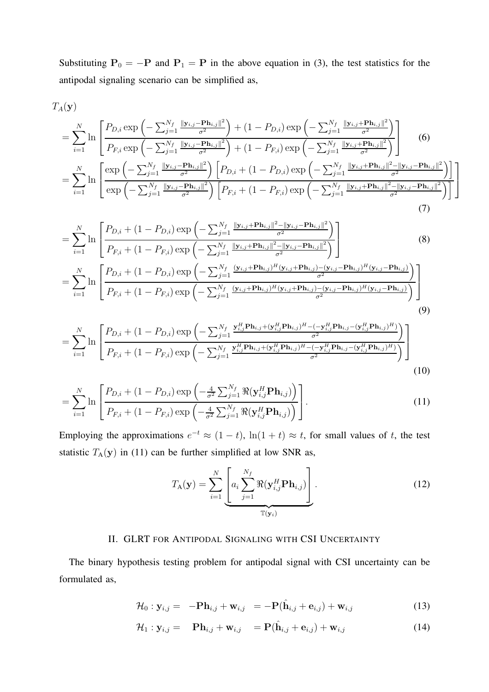Substituting  $P_0 = -P$  and  $P_1 = P$  in the above equation in (3), the test statistics for the antipodal signaling scenario can be simplified as,

$$
T_A(\mathbf{y})
$$

$$
= \sum_{i=1}^{N} \ln \left[ \frac{P_{D,i} \exp \left(-\sum_{j=1}^{N_f} \frac{\|\mathbf{y}_{i,j} - \mathbf{P}\mathbf{h}_{i,j}\|^2}{\sigma^2}\right) + (1 - P_{D,i}) \exp \left(-\sum_{j=1}^{N_f} \frac{\|\mathbf{y}_{i,j} + \mathbf{P}\mathbf{h}_{i,j}\|^2}{\sigma^2}\right)}{P_{F,i} \exp \left(-\sum_{j=1}^{N_f} \frac{\|\mathbf{y}_{i,j} - \mathbf{P}\mathbf{h}_{i,j}\|^2}{\sigma^2}\right) + (1 - P_{F,i}) \exp \left(-\sum_{j=1}^{N_f} \frac{\|\mathbf{y}_{i,j} + \mathbf{P}\mathbf{h}_{i,j}\|^2}{\sigma^2}\right)}{P_{F,i}} \right]
$$
(6)  

$$
= \sum_{i=1}^{N} \ln \left[ \frac{\exp \left(-\sum_{j=1}^{N_f} \frac{\|\mathbf{y}_{i,j} - \mathbf{P}\mathbf{h}_{i,j}\|^2}{\sigma^2}\right) \left[P_{D,i} + (1 - P_{D,i}) \exp \left(-\sum_{j=1}^{N_f} \frac{\|\mathbf{y}_{i,j} + \mathbf{P}\mathbf{h}_{i,j}\|^2 - \|\mathbf{y}_{i,j} - \mathbf{P}\mathbf{h}_{i,j}\|^2}{\sigma^2}\right)\right]}{P_{F,i} \exp \left(-\sum_{j=1}^{N_f} \frac{\|\mathbf{y}_{i,j} + \mathbf{P}\mathbf{h}_{i,j}\|^2 - \|\mathbf{y}_{i,j} - \mathbf{P}\mathbf{h}_{i,j}\|^2}{\sigma^2}\right)} \right]
$$
(7)

$$
= \sum_{i=1}^{N} \ln \left[ \frac{P_{D,i} + (1 - P_{D,i}) \exp \left( -\sum_{j=1}^{N_f} \frac{\|\mathbf{y}_{i,j} + \mathbf{P}\mathbf{h}_{i,j}\|^2 - \|\mathbf{y}_{i,j} - \mathbf{P}\mathbf{h}_{i,j}\|^2}{\sigma^2} \right)}{P_{F,i} + (1 - P_{F,i}) \exp \left( -\sum_{j=1}^{N_f} \frac{\|\mathbf{y}_{i,j} + \mathbf{P}\mathbf{h}_{i,j}\|^2 - \|\mathbf{y}_{i,j} - \mathbf{P}\mathbf{h}_{i,j}\|^2}{\sigma^2} \right)}{P_{F,i}} \right]
$$
(8)  
= 
$$
\sum_{i=1}^{N} \ln \left[ \frac{P_{D,i} + (1 - P_{D,i}) \exp \left( -\sum_{j=1}^{N_f} \frac{(\mathbf{y}_{i,j} + \mathbf{P}\mathbf{h}_{i,j})^H (\mathbf{y}_{i,j} + \mathbf{P}\mathbf{h}_{i,j}) - (\mathbf{y}_{i,j} - \mathbf{P}\mathbf{h}_{i,j})^H (\mathbf{y}_{i,j} - \mathbf{P}\mathbf{h}_{i,j})}{\sigma^2} \right)}{\sigma^2} \right]
$$
(9)

$$
= \sum_{i=1}^{N} \ln \left[ \frac{P_{D,i} + (1 - P_{D,i}) \exp \left( -\sum_{j=1}^{N_f} \frac{\mathbf{y}_{i,j}^H \mathbf{P} \mathbf{h}_{i,j} + (\mathbf{y}_{i,j}^H \mathbf{P} \mathbf{h}_{i,j})^H - (-\mathbf{y}_{i,j}^H \mathbf{P} \mathbf{h}_{i,j} - (\mathbf{y}_{i,j}^H \mathbf{P} \mathbf{h}_{i,j})^H)}{\sigma^2} \right)}{P_{F,i} + (1 - P_{F,i}) \exp \left( -\sum_{j=1}^{N_f} \frac{\mathbf{y}_{i,j}^H \mathbf{P} \mathbf{h}_{i,j} + (\mathbf{y}_{i,j}^H \mathbf{P} \mathbf{h}_{i,j})^H - (-\mathbf{y}_{i,j}^H \mathbf{P} \mathbf{h}_{i,j} - (\mathbf{y}_{i,j}^H \mathbf{P} \mathbf{h}_{i,j})^H)}{\sigma^2} \right)}{(10)}
$$

$$
= \sum_{i=1}^{N} \ln \left[ \frac{P_{D,i} + (1 - P_{D,i}) \exp \left( -\frac{4}{\sigma^2} \sum_{j=1}^{N_f} \Re(\mathbf{y}_{i,j}^H \mathbf{P} \mathbf{h}_{i,j}) \right)}{P_{F,i} + (1 - P_{F,i}) \exp \left( -\frac{4}{\sigma^2} \sum_{j=1}^{N_f} \Re(\mathbf{y}_{i,j}^H \mathbf{P} \mathbf{h}_{i,j}) \right)} \right].
$$
 (11)

Employing the approximations  $e^{-t} \approx (1-t)$ ,  $\ln(1+t) \approx t$ , for small values of t, the test statistic  $T_A(y)$  in (11) can be further simplified at low SNR as,

$$
T_{\mathbf{A}}(\mathbf{y}) = \sum_{i=1}^{N} \underbrace{\left[a_i \sum_{j=1}^{N_f} \Re(\mathbf{y}_{i,j}^H \mathbf{P} \mathbf{h}_{i,j})\right]}_{\mathbb{T}(\mathbf{y}_i)}.
$$
 (12)

### II. GLRT FOR ANTIPODAL SIGNALING WITH CSI UNCERTAINTY

The binary hypothesis testing problem for antipodal signal with CSI uncertainty can be formulated as,

$$
\mathcal{H}_0: \mathbf{y}_{i,j} = -\mathbf{P}\mathbf{h}_{i,j} + \mathbf{w}_{i,j} = -\mathbf{P}(\hat{\mathbf{h}}_{i,j} + \mathbf{e}_{i,j}) + \mathbf{w}_{i,j}
$$
(13)

$$
\mathcal{H}_1: \mathbf{y}_{i,j} = \mathbf{P}\mathbf{h}_{i,j} + \mathbf{w}_{i,j} = \mathbf{P}(\hat{\mathbf{h}}_{i,j} + \mathbf{e}_{i,j}) + \mathbf{w}_{i,j}
$$
(14)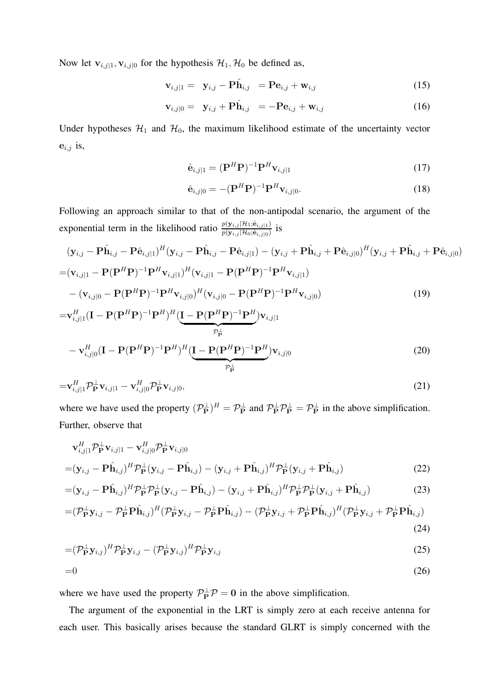Now let  $\mathbf{v}_{i,j|1}, \mathbf{v}_{i,j|0}$  for the hypothesis  $\mathcal{H}_1, \mathcal{H}_0$  be defined as,

$$
\mathbf{v}_{i,j|1} = \mathbf{y}_{i,j} - \mathbf{P}\hat{\mathbf{h}}_{i,j} = \mathbf{P}\mathbf{e}_{i,j} + \mathbf{w}_{i,j} \tag{15}
$$

$$
\mathbf{v}_{i,j|0} = \mathbf{y}_{i,j} + \mathbf{P}\hat{\mathbf{h}}_{i,j} = -\mathbf{P}\mathbf{e}_{i,j} + \mathbf{w}_{i,j}
$$
(16)

Under hypotheses  $\mathcal{H}_1$  and  $\mathcal{H}_0$ , the maximum likelihood estimate of the uncertainty vector  $e_{i,j}$  is,

$$
\hat{\mathbf{e}}_{i,j|1} = (\mathbf{P}^H \mathbf{P})^{-1} \mathbf{P}^H \mathbf{v}_{i,j|1}
$$
\n(17)

$$
\hat{\mathbf{e}}_{i,j|0} = -(\mathbf{P}^H \mathbf{P})^{-1} \mathbf{P}^H \mathbf{v}_{i,j|0}.
$$
\n(18)

Following an approach similar to that of the non-antipodal scenario, the argument of the exponential term in the likelihood ratio  $\frac{p(y_{i,j} | \mathcal{H}_1; \hat{\mathbf{e}}_{i,j} | 1)}{p(y_{i,j} | \mathcal{H}_0; \hat{\mathbf{e}}_{i,j} | 0)}$  is

$$
(\mathbf{y}_{i,j} - \mathbf{P}\hat{\mathbf{h}}_{i,j} - \mathbf{P}\hat{\mathbf{e}}_{i,j|1})^H (\mathbf{y}_{i,j} - \mathbf{P}\hat{\mathbf{h}}_{i,j} - \mathbf{P}\hat{\mathbf{e}}_{i,j|1}) - (\mathbf{y}_{i,j} + \mathbf{P}\hat{\mathbf{h}}_{i,j} + \mathbf{P}\hat{\mathbf{e}}_{i,j|0})^H (\mathbf{y}_{i,j} + \mathbf{P}\hat{\mathbf{h}}_{i,j} + \mathbf{P}\hat{\mathbf{e}}_{i,j|0})
$$
  
=  $(\mathbf{v}_{i,j|1} - \mathbf{P}(\mathbf{P}^H \mathbf{P})^{-1} \mathbf{P}^H \mathbf{v}_{i,j|1})^H (\mathbf{v}_{i,j|1} - \mathbf{P}(\mathbf{P}^H \mathbf{P})^{-1} \mathbf{P}^H \mathbf{v}_{i,j|1})$   
 $- (\mathbf{v}_{i,j|0} - \mathbf{P}(\mathbf{P}^H \mathbf{P})^{-1} \mathbf{P}^H \mathbf{v}_{i,j|0})^H (\mathbf{v}_{i,j|0} - \mathbf{P}(\mathbf{P}^H \mathbf{P})^{-1} \mathbf{P}^H \mathbf{v}_{i,j|0})$  (19)

$$
= \mathbf{v}_{i,j|1}^H (\mathbf{I} - \mathbf{P}(\mathbf{P}^H \mathbf{P})^{-1} \mathbf{P}^H)^H (\underbrace{\mathbf{I} - \mathbf{P}(\mathbf{P}^H \mathbf{P})^{-1} \mathbf{P}^H}_{\mathcal{P}^{\perp}_{\mathbf{P}}} ) \mathbf{v}_{i,j|1}
$$
  
- 
$$
\mathbf{v}_{i,j|0}^H (\mathbf{I} - \mathbf{P}(\mathbf{P}^H \mathbf{P})^{-1} \mathbf{P}^H)^H (\underbrace{\mathbf{I} - \mathbf{P}(\mathbf{P}^H \mathbf{P})^{-1} \mathbf{P}^H}_{\mathcal{P}^{\perp}_{\mathbf{P}}} ) \mathbf{v}_{i,j|0}
$$
(20)

$$
=\mathbf{v}_{i,j|1}^H \mathcal{P}_{\mathbf{P}}^{\perp} \mathbf{v}_{i,j|1} - \mathbf{v}_{i,j|0}^H \mathcal{P}_{\mathbf{P}}^{\perp} \mathbf{v}_{i,j|0},
$$
\n(21)

where we have used the property  $(\mathcal{P}_{\mathbf{P}}^{\perp})^H = \mathcal{P}_{\mathbf{P}}^{\perp}$  and  $\mathcal{P}_{\mathbf{P}}^{\perp} \mathcal{P}_{\mathbf{P}}^{\perp} = \mathcal{P}_{\mathbf{P}}^{\perp}$  in the above simplification. Further, observe that

$$
\mathbf{v}_{i,j|1}^H \mathcal{P}_\mathbf{P}^\perp \mathbf{v}_{i,j|1} - \mathbf{v}_{i,j|0}^H \mathcal{P}_\mathbf{P}^\perp \mathbf{v}_{i,j|0}
$$
  
=
$$
(\mathbf{y}_{i,j} - \mathbf{P}\hat{\mathbf{h}}_{i,j})^H \mathcal{P}_\mathbf{P}^\perp (\mathbf{y}_{i,j} - \mathbf{P}\hat{\mathbf{h}}_{i,j}) - (\mathbf{y}_{i,j} + \mathbf{P}\hat{\mathbf{h}}_{i,j})^H \mathcal{P}_\mathbf{P}^\perp (\mathbf{y}_{i,j} + \mathbf{P}\hat{\mathbf{h}}_{i,j})
$$
(22)

$$
= (\mathbf{y}_{i,j} - \mathbf{P}\hat{\mathbf{h}}_{i,j})^H \mathcal{P}_{\mathbf{P}}^{\perp} \mathcal{P}_{\mathbf{P}}^{\perp} (\mathbf{y}_{i,j} - \mathbf{P}\hat{\mathbf{h}}_{i,j}) - (\mathbf{y}_{i,j} + \mathbf{P}\hat{\mathbf{h}}_{i,j})^H \mathcal{P}_{\mathbf{P}}^{\perp} \mathcal{P}_{\mathbf{P}}^{\perp} (\mathbf{y}_{i,j} + \mathbf{P}\hat{\mathbf{h}}_{i,j})
$$
(23)

$$
= (\mathcal{P}_{\mathbf{P}}^{\perp} \mathbf{y}_{i,j} - \mathcal{P}_{\mathbf{P}}^{\perp} \mathbf{P} \hat{\mathbf{h}}_{i,j})^{H} (\mathcal{P}_{\mathbf{P}}^{\perp} \mathbf{y}_{i,j} - \mathcal{P}_{\mathbf{P}}^{\perp} \mathbf{P} \hat{\mathbf{h}}_{i,j}) - (\mathcal{P}_{\mathbf{P}}^{\perp} \mathbf{y}_{i,j} + \mathcal{P}_{\mathbf{P}}^{\perp} \mathbf{P} \hat{\mathbf{h}}_{i,j})^{H} (\mathcal{P}_{\mathbf{P}}^{\perp} \mathbf{y}_{i,j} + \mathcal{P}_{\mathbf{P}}^{\perp} \mathbf{P} \hat{\mathbf{h}}_{i,j})
$$
\n(24)

$$
= (\mathcal{P}_{\mathbf{P}}^{\perp} \mathbf{y}_{i,j})^{H} \mathcal{P}_{\mathbf{P}}^{\perp} \mathbf{y}_{i,j} - (\mathcal{P}_{\mathbf{P}}^{\perp} \mathbf{y}_{i,j})^{H} \mathcal{P}_{\mathbf{P}}^{\perp} \mathbf{y}_{i,j}
$$
(25)

$$
=0\tag{26}
$$

where we have used the property  $\mathcal{P}_P^{\perp} \mathcal{P} = 0$  in the above simplification.

The argument of the exponential in the LRT is simply zero at each receive antenna for each user. This basically arises because the standard GLRT is simply concerned with the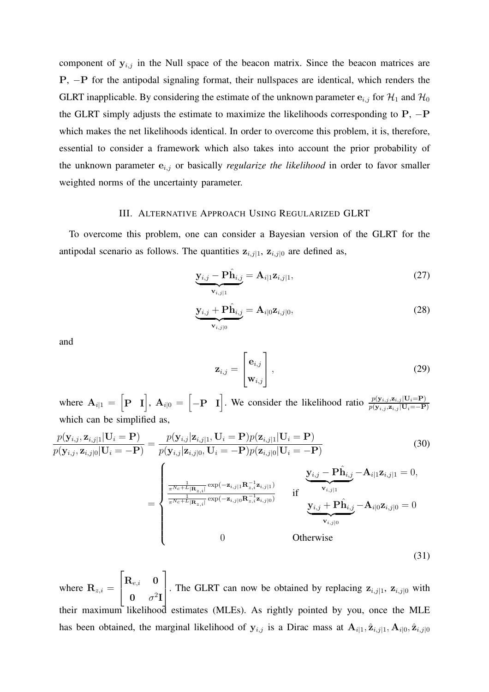component of  $y_{i,j}$  in the Null space of the beacon matrix. Since the beacon matrices are P, −P for the antipodal signaling format, their nullspaces are identical, which renders the GLRT inapplicable. By considering the estimate of the unknown parameter  $e_{i,j}$  for  $\mathcal{H}_1$  and  $\mathcal{H}_0$ the GLRT simply adjusts the estimate to maximize the likelihoods corresponding to  $P$ ,  $-P$ which makes the net likelihoods identical. In order to overcome this problem, it is, therefore, essential to consider a framework which also takes into account the prior probability of the unknown parameter  $e_{i,j}$  or basically *regularize the likelihood* in order to favor smaller weighted norms of the uncertainty parameter.

#### III. ALTERNATIVE APPROACH USING REGULARIZED GLRT

To overcome this problem, one can consider a Bayesian version of the GLRT for the antipodal scenario as follows. The quantities  $z_{i,j|1}$ ,  $z_{i,j|0}$  are defined as,

$$
\underbrace{\mathbf{y}_{i,j} - \mathbf{P}\hat{\mathbf{h}}_{i,j}}_{\mathbf{v}_{i,j|1}} = \mathbf{A}_{i|1} \mathbf{z}_{i,j|1},\tag{27}
$$

$$
\underbrace{\mathbf{y}_{i,j} + \mathbf{P}\hat{\mathbf{h}}_{i,j}}_{\mathbf{v}_{i,j|0}} = \mathbf{A}_{i|0} \mathbf{z}_{i,j|0},\tag{28}
$$

and

$$
\mathbf{z}_{i,j} = \begin{bmatrix} \mathbf{e}_{i,j} \\ \mathbf{w}_{i,j} \end{bmatrix},
$$
 (29)

where  $A_{i|1} = [\mathbf{P} \quad \mathbf{I}]$ ,  $A_{i|0} = [-\mathbf{P} \quad \mathbf{I}]$ . We consider the likelihood ratio  $\frac{p(\mathbf{y}_{i,j}, \mathbf{z}_{i,j} | \mathbf{U}_i = \mathbf{P})}{p(\mathbf{y}_{i,j}, \mathbf{z}_{i,j} | \mathbf{U}_i = -\mathbf{P})}$ which can be simplified as,

$$
\frac{p(\mathbf{y}_{i,j}, \mathbf{z}_{i,j|1} | \mathbf{U}_i = \mathbf{P})}{p(\mathbf{y}_{i,j}, \mathbf{z}_{i,j|0} | \mathbf{U}_i = -\mathbf{P})} = \frac{p(\mathbf{y}_{i,j} | \mathbf{z}_{i,j|1}, \mathbf{U}_i = \mathbf{P}) p(\mathbf{z}_{i,j|1} | \mathbf{U}_i = \mathbf{P})}{p(\mathbf{y}_{i,j} | \mathbf{z}_{i,j|0}, \mathbf{U}_i = -\mathbf{P}) p(\mathbf{z}_{i,j|0} | \mathbf{U}_i = -\mathbf{P})}
$$
(30)  

$$
= \begin{cases} \frac{1}{\pi N c + L_{|\mathbf{R}_{z,i}|} \exp(-\mathbf{z}_{i,j|1} \mathbf{R}_{z,i}^{-1} \mathbf{z}_{i,j|1})} \mathbf{y}_{i,j} - \mathbf{P} \hat{\mathbf{h}}_{i,j} - \mathbf{A}_{i|1} \mathbf{z}_{i,j|1} = 0, \\ \frac{1}{\pi N c + L_{|\mathbf{R}_{z,i}|} \exp(-\mathbf{z}_{i,j|0} \mathbf{R}_{z,i}^{-1} \mathbf{z}_{i,j|0})} \text{if} \frac{\mathbf{y}_{i,j} - \mathbf{P} \hat{\mathbf{h}}_{i,j}}{\mathbf{y}_{i,j} + \mathbf{P} \hat{\mathbf{h}}_{i,j}} - \mathbf{A}_{i|0} \mathbf{z}_{i,j|0} = 0 \\ 0 \end{cases}
$$
(31)

where  $\mathbf{R}_{z,i} =$  $\sqrt{ }$  $\overline{1}$  $\mathbf{R}_{e,i}$  0  $0 \quad \sigma^2 I$ 1 . The GLRT can now be obtained by replacing  $z_{i,j|1}$ ,  $z_{i,j|0}$  with their maximum likelihood estimates (MLEs). As rightly pointed by you, once the MLE has been obtained, the marginal likelihood of  $y_{i,j}$  is a Dirac mass at  $A_{i|1}, \hat{z}_{i,j|1}, A_{i|0}, \hat{z}_{i,j|0}$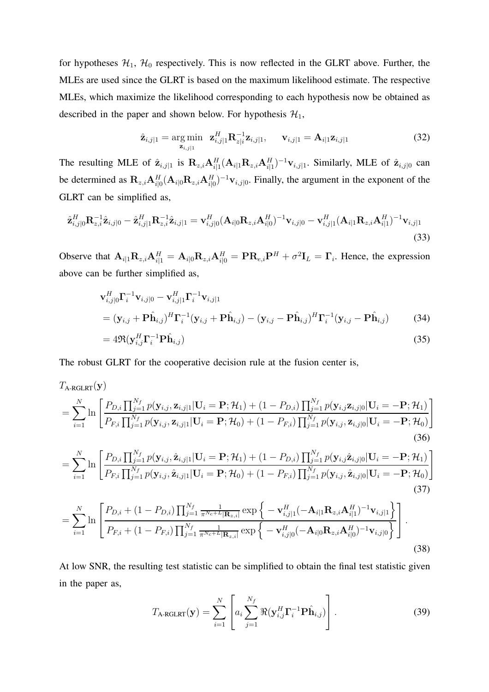for hypotheses  $H_1$ ,  $H_0$  respectively. This is now reflected in the GLRT above. Further, the MLEs are used since the GLRT is based on the maximum likelihood estimate. The respective MLEs, which maximize the likelihood corresponding to each hypothesis now be obtained as described in the paper and shown below. For hypothesis  $\mathcal{H}_1$ ,

$$
\hat{\mathbf{z}}_{i,j|1} = \underset{\mathbf{z}_{i,j|1}}{\arg \min} \ \ \mathbf{z}_{i,j|1}^H \mathbf{R}_{z|i}^{-1} \mathbf{z}_{i,j|1}, \qquad \mathbf{v}_{i,j|1} = \mathbf{A}_{i|1} \mathbf{z}_{i,j|1}
$$
(32)

The resulting MLE of  $\hat{\mathbf{z}}_{i,j|1}$  is  $\mathbf{R}_{z,i} \mathbf{A}_{i|1}^H (\mathbf{A}_{i|1} \mathbf{R}_{z,i} \mathbf{A}_{i|1}^H)^{-1} \mathbf{v}_{i,j|1}$ . Similarly, MLE of  $\hat{\mathbf{z}}_{i,j|0}$  can be determined as  $\mathbf{R}_{z,i} \mathbf{A}_{i|0}^H (\mathbf{A}_{i|0} \mathbf{R}_{z,i} \mathbf{A}_{i|0}^H)^{-1} \mathbf{v}_{i,j|0}$ . Finally, the argument in the exponent of the GLRT can be simplified as,

$$
\hat{\mathbf{z}}_{i,j|0}^{H} \mathbf{R}_{z,i}^{-1} \hat{\mathbf{z}}_{i,j|0} - \hat{\mathbf{z}}_{i,j|1}^{H} \mathbf{R}_{z,i}^{-1} \hat{\mathbf{z}}_{i,j|1} = \mathbf{v}_{i,j|0}^{H} (\mathbf{A}_{i|0} \mathbf{R}_{z,i} \mathbf{A}_{i|0}^{H})^{-1} \mathbf{v}_{i,j|0} - \mathbf{v}_{i,j|1}^{H} (\mathbf{A}_{i|1} \mathbf{R}_{z,i} \mathbf{A}_{i|1}^{H})^{-1} \mathbf{v}_{i,j|1}
$$
\n(33)

Observe that  $\mathbf{A}_{i|1}\mathbf{R}_{z,i}\mathbf{A}_{i|1}^H = \mathbf{A}_{i|0}\mathbf{R}_{z,i}\mathbf{A}_{i|0}^H = \mathbf{P}\mathbf{R}_{e,i}\mathbf{P}^H + \sigma^2\mathbf{I}_L = \mathbf{\Gamma}_i$ . Hence, the expression above can be further simplified as,

$$
\mathbf{v}_{i,j|0}^H \mathbf{\Gamma}_i^{-1} \mathbf{v}_{i,j|0} - \mathbf{v}_{i,j|1}^H \mathbf{\Gamma}_i^{-1} \mathbf{v}_{i,j|1}
$$
  
=  $(\mathbf{y}_{i,j} + \mathbf{P}\hat{\mathbf{h}}_{i,j})^H \mathbf{\Gamma}_i^{-1} (\mathbf{y}_{i,j} + \mathbf{P}\hat{\mathbf{h}}_{i,j}) - (\mathbf{y}_{i,j} - \mathbf{P}\hat{\mathbf{h}}_{i,j})^H \mathbf{\Gamma}_i^{-1} (\mathbf{y}_{i,j} - \mathbf{P}\hat{\mathbf{h}}_{i,j})$  (34)  
=  $4\Re(\mathbf{v}^H \mathbf{\Gamma}^{-1} \mathbf{D}\hat{\mathbf{h}})$  (35)

$$
=4\Re(\mathbf{y}_{i,j}^H\mathbf{\Gamma}_i^{-1}\mathbf{P}\hat{\mathbf{h}}_{i,j})
$$
\n(35)

The robust GLRT for the cooperative decision rule at the fusion center is,

$$
T_{A \text{-RGLRT}}(\mathbf{y})
$$
\n
$$
= \sum_{i=1}^{N} \ln \left[ \frac{P_{D,i} \prod_{j=1}^{N_f} p(\mathbf{y}_{i,j}, \mathbf{z}_{i,j|1} | \mathbf{U}_i = \mathbf{P}; \mathcal{H}_1) + (1 - P_{D,i}) \prod_{j=1}^{N_f} p(\mathbf{y}_{i,j} \mathbf{z}_{i,j|0} | \mathbf{U}_i = -\mathbf{P}; \mathcal{H}_1) \right]
$$
\n
$$
= \sum_{i=1}^{N} \ln \left[ \frac{P_{D,i} \prod_{j=1}^{N_f} p(\mathbf{y}_{i,j}, \mathbf{z}_{i,j|1} | \mathbf{U}_i = \mathbf{P}; \mathcal{H}_0) + (1 - P_{F,i}) \prod_{j=1}^{N_f} p(\mathbf{y}_{i,j}, \mathbf{z}_{i,j|0} | \mathbf{U}_i = -\mathbf{P}; \mathcal{H}_0) \right]
$$
\n(36)\n
$$
= \sum_{i=1}^{N} \ln \left[ \frac{P_{D,i} \prod_{j=1}^{N_f} p(\mathbf{y}_{i,j}, \hat{\mathbf{z}}_{i,j|1} | \mathbf{U}_i = \mathbf{P}; \mathcal{H}_1) + (1 - P_{D,i}) \prod_{j=1}^{N_f} p(\mathbf{y}_{i,j} \hat{\mathbf{z}}_{i,j|0} | \mathbf{U}_i = -\mathbf{P}; \mathcal{H}_1) \right]
$$
\n(37)\n
$$
= \sum_{i=1}^{N} \ln \left[ \frac{P_{D,i} + (1 - P_{D,i}) \prod_{j=1}^{N_f} \frac{1}{\pi^{N_c + L} |\mathbf{R}_{z,i}|} \exp \left\{ -\mathbf{v}_{i,j|1}^H (-\mathbf{A}_{i|1} \mathbf{R}_{z,i} \mathbf{A}_{i|1}^H)^{-1} \mathbf{v}_{i,j|1} \right\} \right]
$$
\n(37)\n
$$
= \sum_{i=1}^{N} \ln \left[ \frac{P_{D,i} + (1 - P_{D,i}) \prod_{j=1}^{N_f} \frac{1}{\pi^{N_c + L} |\mathbf{R}_{z,i}|} \exp \left\{ -\mathbf{v}_{i,j|0}^H (-\mathbf{A}_{
$$

At low SNR, the resulting test statistic can be simplified to obtain the final test statistic given in the paper as,

$$
T_{\text{A-RGLRT}}(\mathbf{y}) = \sum_{i=1}^{N} \left[ a_i \sum_{j=1}^{N_f} \Re(\mathbf{y}_{i,j}^H \mathbf{\Gamma}_i^{-1} \mathbf{P} \hat{\mathbf{h}}_{i,j}) \right].
$$
 (39)